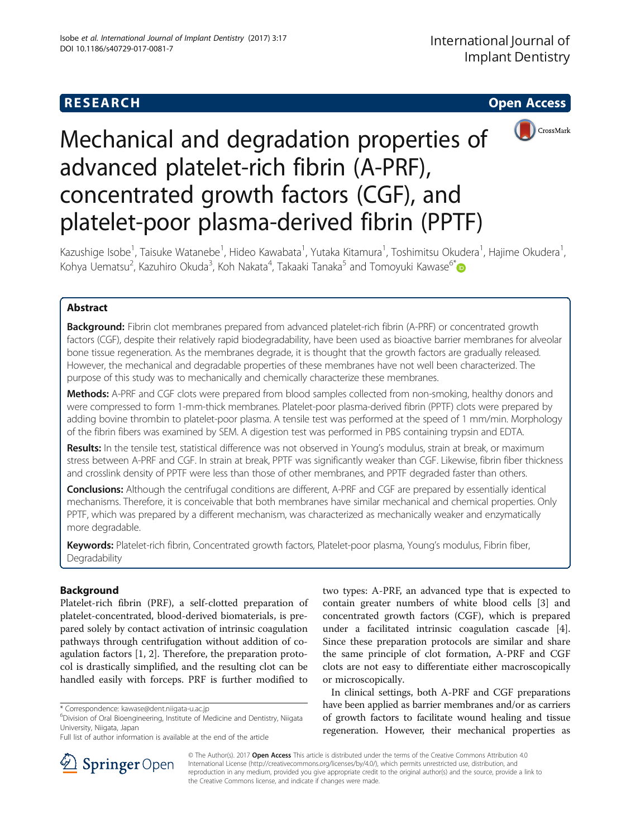

# Mechanical and degradation properties of advanced platelet-rich fibrin (A-PRF), concentrated growth factors (CGF), and platelet-poor plasma-derived fibrin (PPTF)

Kazushige Isobe<sup>1</sup>, Taisuke Watanebe<sup>1</sup>, Hideo Kawabata<sup>1</sup>, Yutaka Kitamura<sup>1</sup>, Toshimitsu Okudera<sup>1</sup>, Hajime Okudera<sup>1</sup> , Kohya Uematsu<sup>2</sup>, Kazuhiro Okuda<sup>3</sup>, Koh Nakata<sup>4</sup>, Takaaki Tanaka<sup>5</sup> and Tomoyuki Kawase<sup>6\*</sup>

# Abstract

**Background:** Fibrin clot membranes prepared from advanced platelet-rich fibrin (A-PRF) or concentrated growth factors (CGF), despite their relatively rapid biodegradability, have been used as bioactive barrier membranes for alveolar bone tissue regeneration. As the membranes degrade, it is thought that the growth factors are gradually released. However, the mechanical and degradable properties of these membranes have not well been characterized. The purpose of this study was to mechanically and chemically characterize these membranes.

Methods: A-PRF and CGF clots were prepared from blood samples collected from non-smoking, healthy donors and were compressed to form 1-mm-thick membranes. Platelet-poor plasma-derived fibrin (PPTF) clots were prepared by adding bovine thrombin to platelet-poor plasma. A tensile test was performed at the speed of 1 mm/min. Morphology of the fibrin fibers was examined by SEM. A digestion test was performed in PBS containing trypsin and EDTA.

Results: In the tensile test, statistical difference was not observed in Young's modulus, strain at break, or maximum stress between A-PRF and CGF. In strain at break, PPTF was significantly weaker than CGF. Likewise, fibrin fiber thickness and crosslink density of PPTF were less than those of other membranes, and PPTF degraded faster than others.

Conclusions: Although the centrifugal conditions are different, A-PRF and CGF are prepared by essentially identical mechanisms. Therefore, it is conceivable that both membranes have similar mechanical and chemical properties. Only PPTF, which was prepared by a different mechanism, was characterized as mechanically weaker and enzymatically more degradable.

Keywords: Platelet-rich fibrin, Concentrated growth factors, Platelet-poor plasma, Young's modulus, Fibrin fiber, **Degradability** 

# Background

Platelet-rich fibrin (PRF), a self-clotted preparation of platelet-concentrated, blood-derived biomaterials, is prepared solely by contact activation of intrinsic coagulation pathways through centrifugation without addition of coagulation factors [[1](#page-5-0), [2](#page-5-0)]. Therefore, the preparation protocol is drastically simplified, and the resulting clot can be handled easily with forceps. PRF is further modified to

two types: A-PRF, an advanced type that is expected to contain greater numbers of white blood cells [\[3](#page-5-0)] and concentrated growth factors (CGF), which is prepared under a facilitated intrinsic coagulation cascade [\[4](#page-5-0)]. Since these preparation protocols are similar and share the same principle of clot formation, A-PRF and CGF clots are not easy to differentiate either macroscopically or microscopically.

In clinical settings, both A-PRF and CGF preparations have been applied as barrier membranes and/or as carriers of growth factors to facilitate wound healing and tissue regeneration. However, their mechanical properties as



© The Author(s). 2017 **Open Access** This article is distributed under the terms of the Creative Commons Attribution 4.0 International License ([http://creativecommons.org/licenses/by/4.0/\)](http://creativecommons.org/licenses/by/4.0/), which permits unrestricted use, distribution, and reproduction in any medium, provided you give appropriate credit to the original author(s) and the source, provide a link to the Creative Commons license, and indicate if changes were made.

<sup>\*</sup> Correspondence: [kawase@dent.niigata-u.ac.jp](mailto:kawase@dent.niigata-u.ac.jp) <sup>6</sup>

Division of Oral Bioengineering, Institute of Medicine and Dentistry, Niigata University, Niigata, Japan

Full list of author information is available at the end of the article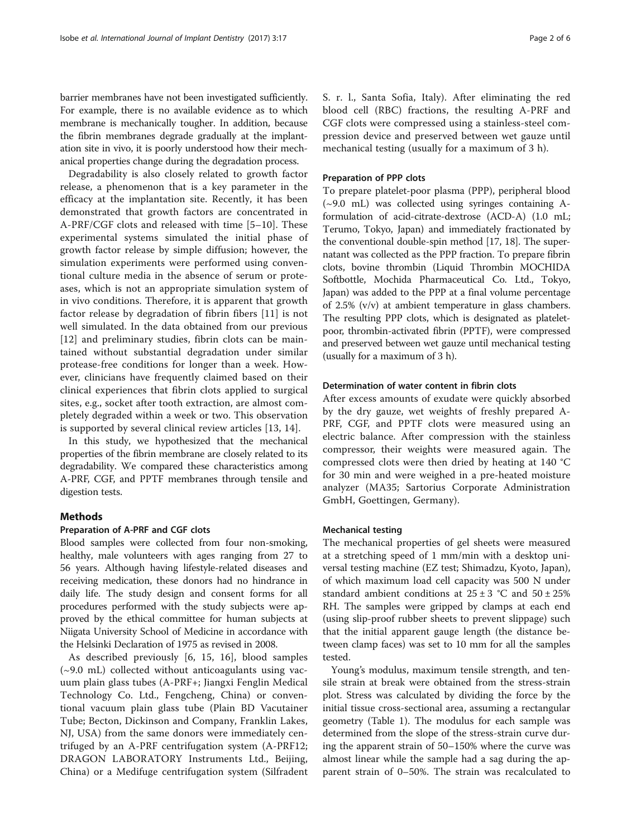barrier membranes have not been investigated sufficiently. For example, there is no available evidence as to which membrane is mechanically tougher. In addition, because the fibrin membranes degrade gradually at the implantation site in vivo, it is poorly understood how their mechanical properties change during the degradation process.

Degradability is also closely related to growth factor release, a phenomenon that is a key parameter in the efficacy at the implantation site. Recently, it has been demonstrated that growth factors are concentrated in A-PRF/CGF clots and released with time [[5](#page-5-0)–[10\]](#page-5-0). These experimental systems simulated the initial phase of growth factor release by simple diffusion; however, the simulation experiments were performed using conventional culture media in the absence of serum or proteases, which is not an appropriate simulation system of in vivo conditions. Therefore, it is apparent that growth factor release by degradation of fibrin fibers [[11\]](#page-5-0) is not well simulated. In the data obtained from our previous [[12\]](#page-5-0) and preliminary studies, fibrin clots can be maintained without substantial degradation under similar protease-free conditions for longer than a week. However, clinicians have frequently claimed based on their clinical experiences that fibrin clots applied to surgical sites, e.g., socket after tooth extraction, are almost completely degraded within a week or two. This observation is supported by several clinical review articles [\[13](#page-5-0), [14\]](#page-5-0).

In this study, we hypothesized that the mechanical properties of the fibrin membrane are closely related to its degradability. We compared these characteristics among A-PRF, CGF, and PPTF membranes through tensile and digestion tests.

# **Methods**

## Preparation of A-PRF and CGF clots

Blood samples were collected from four non-smoking, healthy, male volunteers with ages ranging from 27 to 56 years. Although having lifestyle-related diseases and receiving medication, these donors had no hindrance in daily life. The study design and consent forms for all procedures performed with the study subjects were approved by the ethical committee for human subjects at Niigata University School of Medicine in accordance with the Helsinki Declaration of 1975 as revised in 2008.

As described previously [\[6](#page-5-0), [15](#page-5-0), [16\]](#page-5-0), blood samples (~9.0 mL) collected without anticoagulants using vacuum plain glass tubes (A-PRF+; Jiangxi Fenglin Medical Technology Co. Ltd., Fengcheng, China) or conventional vacuum plain glass tube (Plain BD Vacutainer Tube; Becton, Dickinson and Company, Franklin Lakes, NJ, USA) from the same donors were immediately centrifuged by an A-PRF centrifugation system (A-PRF12; DRAGON LABORATORY Instruments Ltd., Beijing, China) or a Medifuge centrifugation system (Silfradent S. r. l., Santa Sofia, Italy). After eliminating the red blood cell (RBC) fractions, the resulting A-PRF and CGF clots were compressed using a stainless-steel compression device and preserved between wet gauze until mechanical testing (usually for a maximum of 3 h).

# Preparation of PPP clots

To prepare platelet-poor plasma (PPP), peripheral blood (~9.0 mL) was collected using syringes containing Aformulation of acid-citrate-dextrose (ACD-A) (1.0 mL; Terumo, Tokyo, Japan) and immediately fractionated by the conventional double-spin method [\[17, 18](#page-5-0)]. The supernatant was collected as the PPP fraction. To prepare fibrin clots, bovine thrombin (Liquid Thrombin MOCHIDA Softbottle, Mochida Pharmaceutical Co. Ltd., Tokyo, Japan) was added to the PPP at a final volume percentage of 2.5% (v/v) at ambient temperature in glass chambers. The resulting PPP clots, which is designated as plateletpoor, thrombin-activated fibrin (PPTF), were compressed and preserved between wet gauze until mechanical testing (usually for a maximum of 3 h).

# Determination of water content in fibrin clots

After excess amounts of exudate were quickly absorbed by the dry gauze, wet weights of freshly prepared A-PRF, CGF, and PPTF clots were measured using an electric balance. After compression with the stainless compressor, their weights were measured again. The compressed clots were then dried by heating at 140 °C for 30 min and were weighed in a pre-heated moisture analyzer (MA35; Sartorius Corporate Administration GmbH, Goettingen, Germany).

## Mechanical testing

The mechanical properties of gel sheets were measured at a stretching speed of 1 mm/min with a desktop universal testing machine (EZ test; Shimadzu, Kyoto, Japan), of which maximum load cell capacity was 500 N under standard ambient conditions at  $25 \pm 3$  °C and  $50 \pm 25$ % RH. The samples were gripped by clamps at each end (using slip-proof rubber sheets to prevent slippage) such that the initial apparent gauge length (the distance between clamp faces) was set to 10 mm for all the samples tested.

Young's modulus, maximum tensile strength, and tensile strain at break were obtained from the stress-strain plot. Stress was calculated by dividing the force by the initial tissue cross-sectional area, assuming a rectangular geometry (Table [1\)](#page-2-0). The modulus for each sample was determined from the slope of the stress-strain curve during the apparent strain of 50–150% where the curve was almost linear while the sample had a sag during the apparent strain of 0–50%. The strain was recalculated to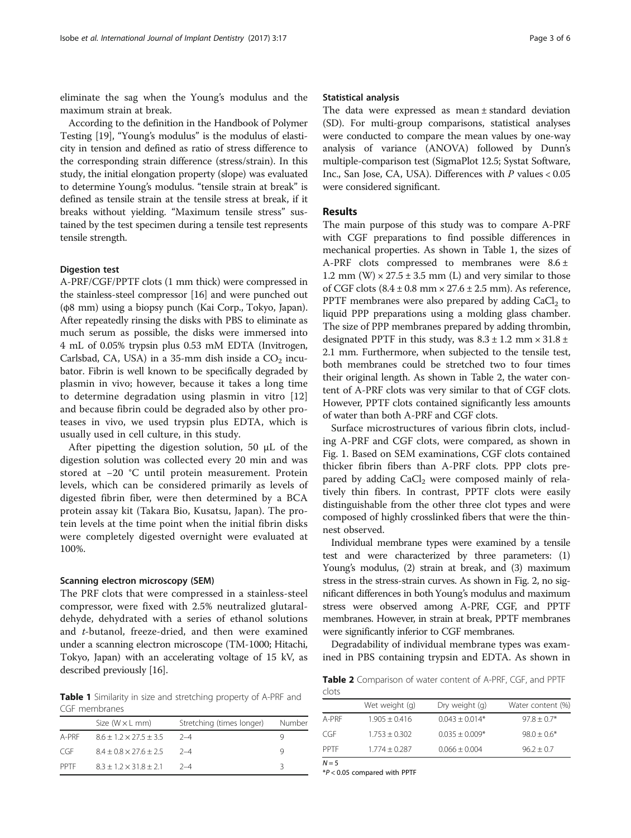<span id="page-2-0"></span>eliminate the sag when the Young's modulus and the maximum strain at break.

According to the definition in the Handbook of Polymer Testing [\[19\]](#page-5-0), "Young's modulus" is the modulus of elasticity in tension and defined as ratio of stress difference to the corresponding strain difference (stress/strain). In this study, the initial elongation property (slope) was evaluated to determine Young's modulus. "tensile strain at break" is defined as tensile strain at the tensile stress at break, if it breaks without yielding. "Maximum tensile stress" sustained by the test specimen during a tensile test represents tensile strength.

#### Digestion test

A-PRF/CGF/PPTF clots (1 mm thick) were compressed in the stainless-steel compressor [\[16\]](#page-5-0) and were punched out (φ8 mm) using a biopsy punch (Kai Corp., Tokyo, Japan). After repeatedly rinsing the disks with PBS to eliminate as much serum as possible, the disks were immersed into 4 mL of 0.05% trypsin plus 0.53 mM EDTA (Invitrogen, Carlsbad, CA, USA) in a 35-mm dish inside a  $CO<sub>2</sub>$  incubator. Fibrin is well known to be specifically degraded by plasmin in vivo; however, because it takes a long time to determine degradation using plasmin in vitro [\[12](#page-5-0)] and because fibrin could be degraded also by other proteases in vivo, we used trypsin plus EDTA, which is usually used in cell culture, in this study.

After pipetting the digestion solution, 50 μL of the digestion solution was collected every 20 min and was stored at −20 °C until protein measurement. Protein levels, which can be considered primarily as levels of digested fibrin fiber, were then determined by a BCA protein assay kit (Takara Bio, Kusatsu, Japan). The protein levels at the time point when the initial fibrin disks were completely digested overnight were evaluated at 100%.

#### Scanning electron microscopy (SEM)

The PRF clots that were compressed in a stainless-steel compressor, were fixed with 2.5% neutralized glutaraldehyde, dehydrated with a series of ethanol solutions and t-butanol, freeze-dried, and then were examined under a scanning electron microscope (TM-1000; Hitachi, Tokyo, Japan) with an accelerating voltage of 15 kV, as described previously [[16](#page-5-0)].

Table 1 Similarity in size and stretching property of A-PRF and CGF membranes

| Size ( $W \times L$ mm)           | Stretching (times longer) | Number |
|-----------------------------------|---------------------------|--------|
| $8.6 \pm 1.2 \times 27.5 \pm 3.5$ | $2 - 4$                   |        |
| $8.4 + 0.8 \times 27.6 + 2.5$     | $2 - 4$                   |        |
| $8.3 + 1.2 \times 31.8 + 2.1$     | $2 - 4$                   |        |
|                                   |                           |        |

#### Statistical analysis

The data were expressed as mean ± standard deviation (SD). For multi-group comparisons, statistical analyses were conducted to compare the mean values by one-way analysis of variance (ANOVA) followed by Dunn's multiple-comparison test (SigmaPlot 12.5; Systat Software, Inc., San Jose, CA, USA). Differences with  $P$  values < 0.05 were considered significant.

## Results

The main purpose of this study was to compare A-PRF with CGF preparations to find possible differences in mechanical properties. As shown in Table 1, the sizes of A-PRF clots compressed to membranes were  $8.6 \pm$ 1.2 mm (W)  $\times$  27.5  $\pm$  3.5 mm (L) and very similar to those of CGF clots (8.4 ± 0.8 mm × 27.6 ± 2.5 mm). As reference, PPTF membranes were also prepared by adding  $CaCl<sub>2</sub>$  to liquid PPP preparations using a molding glass chamber. The size of PPP membranes prepared by adding thrombin, designated PPTF in this study, was  $8.3 \pm 1.2$  mm  $\times$   $31.8 \pm$ 2.1 mm. Furthermore, when subjected to the tensile test, both membranes could be stretched two to four times their original length. As shown in Table 2, the water content of A-PRF clots was very similar to that of CGF clots. However, PPTF clots contained significantly less amounts of water than both A-PRF and CGF clots.

Surface microstructures of various fibrin clots, including A-PRF and CGF clots, were compared, as shown in Fig. [1](#page-3-0). Based on SEM examinations, CGF clots contained thicker fibrin fibers than A-PRF clots. PPP clots prepared by adding  $CaCl<sub>2</sub>$  were composed mainly of relatively thin fibers. In contrast, PPTF clots were easily distinguishable from the other three clot types and were composed of highly crosslinked fibers that were the thinnest observed.

Individual membrane types were examined by a tensile test and were characterized by three parameters: (1) Young's modulus, (2) strain at break, and (3) maximum stress in the stress-strain curves. As shown in Fig. [2,](#page-3-0) no significant differences in both Young's modulus and maximum stress were observed among A-PRF, CGF, and PPTF membranes. However, in strain at break, PPTF membranes were significantly inferior to CGF membranes.

Degradability of individual membrane types was examined in PBS containing trypsin and EDTA. As shown in

Table 2 Comparison of water content of A-PRF, CGF, and PPTF clots

|             | Wet weight (g)    | Dry weight (q)     | Water content (%) |
|-------------|-------------------|--------------------|-------------------|
| A-PRF       | $1.905 + 0.416$   | $0.043 + 0.014*$   | $97.8 \pm 0.7$ *  |
| CGF         | $1.753 \pm 0.302$ | $0.035 \pm 0.009*$ | $98.0 \pm 0.6*$   |
| <b>PPTF</b> | $1.774 + 0.287$   | $0.066 \pm 0.004$  | $96.2 + 0.7$      |
| $N - 5$     |                   |                    |                   |

\*P < 0.05 compared with PPTF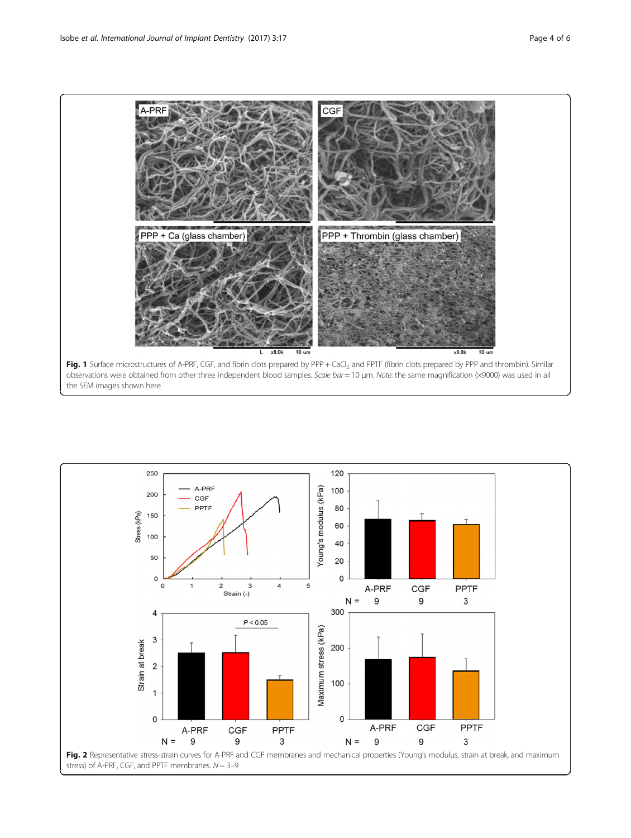<span id="page-3-0"></span>

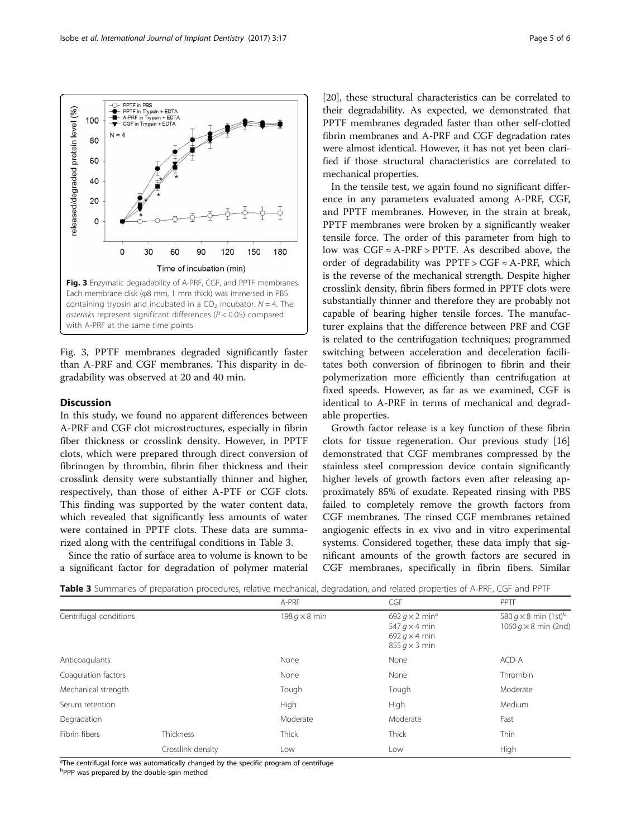Fig. 3, PPTF membranes degraded significantly faster than A-PRF and CGF membranes. This disparity in degradability was observed at 20 and 40 min.

# **Discussion**

In this study, we found no apparent differences between A-PRF and CGF clot microstructures, especially in fibrin fiber thickness or crosslink density. However, in PPTF clots, which were prepared through direct conversion of fibrinogen by thrombin, fibrin fiber thickness and their crosslink density were substantially thinner and higher, respectively, than those of either A-PTF or CGF clots. This finding was supported by the water content data, which revealed that significantly less amounts of water were contained in PPTF clots. These data are summarized along with the centrifugal conditions in Table 3.

Since the ratio of surface area to volume is known to be a significant factor for degradation of polymer material

[[20](#page-5-0)], these structural characteristics can be correlated to their degradability. As expected, we demonstrated that PPTF membranes degraded faster than other self-clotted fibrin membranes and A-PRF and CGF degradation rates were almost identical. However, it has not yet been clarified if those structural characteristics are correlated to mechanical properties.

In the tensile test, we again found no significant difference in any parameters evaluated among A-PRF, CGF, and PPTF membranes. However, in the strain at break, PPTF membranes were broken by a significantly weaker tensile force. The order of this parameter from high to low was  $CGF \approx A-PRF > PPTF$ . As described above, the order of degradability was  $PPTF > CGF \approx A-PRF$ , which is the reverse of the mechanical strength. Despite higher crosslink density, fibrin fibers formed in PPTF clots were substantially thinner and therefore they are probably not capable of bearing higher tensile forces. The manufacturer explains that the difference between PRF and CGF is related to the centrifugation techniques; programmed switching between acceleration and deceleration facilitates both conversion of fibrinogen to fibrin and their polymerization more efficiently than centrifugation at fixed speeds. However, as far as we examined, CGF is identical to A-PRF in terms of mechanical and degradable properties.

Growth factor release is a key function of these fibrin clots for tissue regeneration. Our previous study [[16](#page-5-0)] demonstrated that CGF membranes compressed by the stainless steel compression device contain significantly higher levels of growth factors even after releasing approximately 85% of exudate. Repeated rinsing with PBS failed to completely remove the growth factors from CGF membranes. The rinsed CGF membranes retained angiogenic effects in ex vivo and in vitro experimental systems. Considered together, these data imply that significant amounts of the growth factors are secured in CGF membranes, specifically in fibrin fibers. Similar



|                        |                   | A-PRF               | CGF                                                                                                       | PPTF                                                                   |
|------------------------|-------------------|---------------------|-----------------------------------------------------------------------------------------------------------|------------------------------------------------------------------------|
| Centrifugal conditions |                   | $198q \times 8$ min | 692 $q \times 2$ min <sup>a</sup><br>547 $q \times 4$ min<br>692 $q \times 4$ min<br>$855 q \times 3$ min | 580 $q \times$ 8 min (1st) <sup>b</sup><br>1060 $q \times 8$ min (2nd) |
| Anticoagulants         |                   | None                | None                                                                                                      | ACD-A                                                                  |
| Coaqulation factors    |                   | None                | None                                                                                                      | Thrombin                                                               |
| Mechanical strength    |                   | Tough               | Tough                                                                                                     | Moderate                                                               |
| Serum retention        |                   | High                | High                                                                                                      | Medium                                                                 |
| Degradation            |                   | Moderate            | Moderate                                                                                                  | Fast                                                                   |
| Fibrin fibers          | Thickness         | Thick               | Thick                                                                                                     | <b>Thin</b>                                                            |
|                        | Crosslink density | Low                 | Low                                                                                                       | High                                                                   |

<sup>a</sup>The centrifugal force was automatically changed by the specific program of centrifuge

b PPP was prepared by the double-spin method